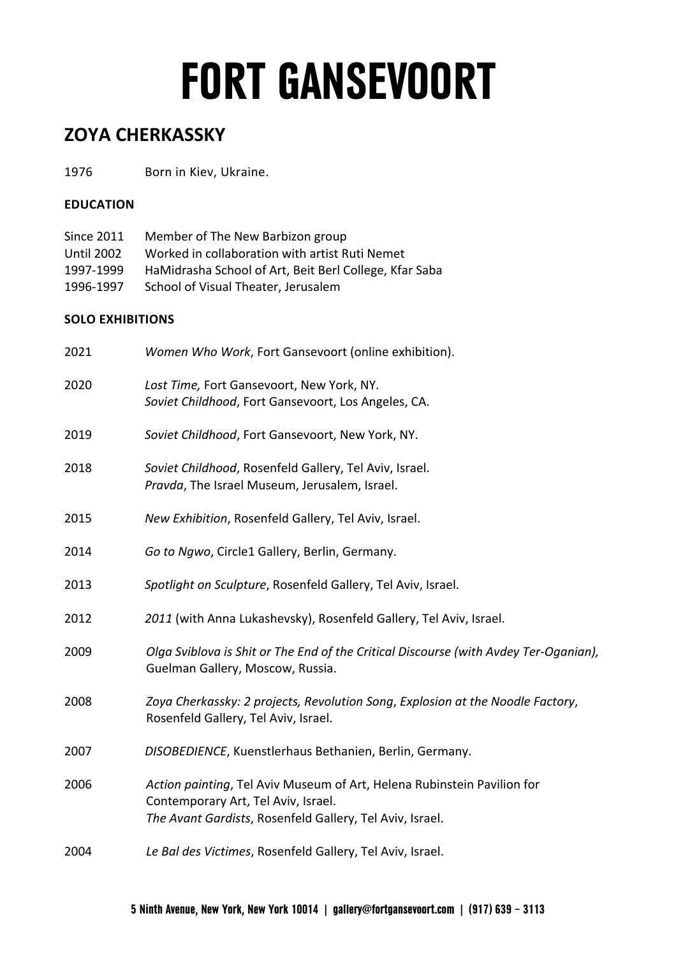### **ZOYA CHERKASSKY**

1976 Born in Kiev, Ukraine.

#### **EDUCATION**

| Since 2011        | Member of The New Barbizon group                       |
|-------------------|--------------------------------------------------------|
| <b>Until 2002</b> | Worked in collaboration with artist Ruti Nemet         |
| 1997-1999         | HaMidrasha School of Art, Beit Berl College, Kfar Saba |
| 1996-1997         | School of Visual Theater, Jerusalem                    |

#### **SOLO EXHIBITIONS**

| 2021 | Women Who Work, Fort Gansevoort (online exhibition).                                                                                                                       |
|------|----------------------------------------------------------------------------------------------------------------------------------------------------------------------------|
| 2020 | Lost Time, Fort Gansevoort, New York, NY.<br>Soviet Childhood, Fort Gansevoort, Los Angeles, CA.                                                                           |
| 2019 | Soviet Childhood, Fort Gansevoort, New York, NY.                                                                                                                           |
| 2018 | Soviet Childhood, Rosenfeld Gallery, Tel Aviv, Israel.<br>Pravda, The Israel Museum, Jerusalem, Israel.                                                                    |
| 2015 | New Exhibition, Rosenfeld Gallery, Tel Aviv, Israel.                                                                                                                       |
| 2014 | Go to Ngwo, Circle1 Gallery, Berlin, Germany.                                                                                                                              |
| 2013 | Spotlight on Sculpture, Rosenfeld Gallery, Tel Aviv, Israel.                                                                                                               |
| 2012 | 2011 (with Anna Lukashevsky), Rosenfeld Gallery, Tel Aviv, Israel.                                                                                                         |
| 2009 | Olga Sviblova is Shit or The End of the Critical Discourse (with Avdey Ter-Oganian),<br>Guelman Gallery, Moscow, Russia.                                                   |
| 2008 | Zoya Cherkassky: 2 projects, Revolution Song, Explosion at the Noodle Factory,<br>Rosenfeld Gallery, Tel Aviv, Israel.                                                     |
| 2007 | DISOBEDIENCE, Kuenstlerhaus Bethanien, Berlin, Germany.                                                                                                                    |
| 2006 | Action painting, Tel Aviv Museum of Art, Helena Rubinstein Pavilion for<br>Contemporary Art, Tel Aviv, Israel.<br>The Avant Gardists, Rosenfeld Gallery, Tel Aviv, Israel. |
| 2004 | Le Bal des Victimes, Rosenfeld Gallery, Tel Aviv, Israel.                                                                                                                  |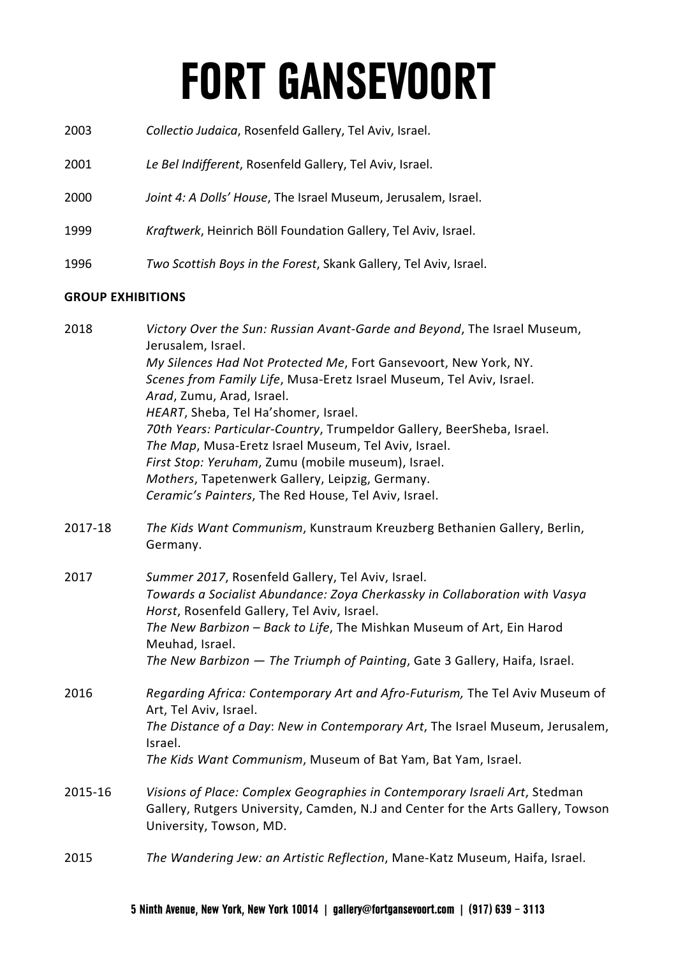- 2003 *Collectio Judaica*, Rosenfeld Gallery, Tel Aviv, Israel.
- 2001 *Le Bel Indifferent*, Rosenfeld Gallery, Tel Aviv, Israel.
- 2000 *Joint 4: A Dolls' House*, The Israel Museum, Jerusalem, Israel.
- 1999 *Kraftwerk*, Heinrich Böll Foundation Gallery, Tel Aviv, Israel.
- 1996 *Two Scottish Boys in the Forest*, Skank Gallery, Tel Aviv, Israel.

#### **GROUP EXHIBITIONS**

| 2018    | Victory Over the Sun: Russian Avant-Garde and Beyond, The Israel Museum,<br>Jerusalem, Israel.<br>My Silences Had Not Protected Me, Fort Gansevoort, New York, NY.<br>Scenes from Family Life, Musa-Eretz Israel Museum, Tel Aviv, Israel.<br>Arad, Zumu, Arad, Israel.<br>HEART, Sheba, Tel Ha'shomer, Israel.<br>70th Years: Particular-Country, Trumpeldor Gallery, BeerSheba, Israel.<br>The Map, Musa-Eretz Israel Museum, Tel Aviv, Israel.<br>First Stop: Yeruham, Zumu (mobile museum), Israel.<br>Mothers, Tapetenwerk Gallery, Leipzig, Germany.<br>Ceramic's Painters, The Red House, Tel Aviv, Israel. |
|---------|--------------------------------------------------------------------------------------------------------------------------------------------------------------------------------------------------------------------------------------------------------------------------------------------------------------------------------------------------------------------------------------------------------------------------------------------------------------------------------------------------------------------------------------------------------------------------------------------------------------------|
| 2017-18 | The Kids Want Communism, Kunstraum Kreuzberg Bethanien Gallery, Berlin,<br>Germany.                                                                                                                                                                                                                                                                                                                                                                                                                                                                                                                                |
| 2017    | Summer 2017, Rosenfeld Gallery, Tel Aviv, Israel.<br>Towards a Socialist Abundance: Zoya Cherkassky in Collaboration with Vasya<br>Horst, Rosenfeld Gallery, Tel Aviv, Israel.<br>The New Barbizon - Back to Life, The Mishkan Museum of Art, Ein Harod<br>Meuhad, Israel.<br>The New Barbizon - The Triumph of Painting, Gate 3 Gallery, Haifa, Israel.                                                                                                                                                                                                                                                           |
| 2016    | Regarding Africa: Contemporary Art and Afro-Futurism, The Tel Aviv Museum of<br>Art, Tel Aviv, Israel.<br>The Distance of a Day: New in Contemporary Art, The Israel Museum, Jerusalem,<br>Israel.<br>The Kids Want Communism, Museum of Bat Yam, Bat Yam, Israel.                                                                                                                                                                                                                                                                                                                                                 |
| 2015-16 | Visions of Place: Complex Geographies in Contemporary Israeli Art, Stedman<br>Gallery, Rutgers University, Camden, N.J and Center for the Arts Gallery, Towson<br>University, Towson, MD.                                                                                                                                                                                                                                                                                                                                                                                                                          |
| 2015    | The Wandering Jew: an Artistic Reflection, Mane-Katz Museum, Haifa, Israel.                                                                                                                                                                                                                                                                                                                                                                                                                                                                                                                                        |
|         |                                                                                                                                                                                                                                                                                                                                                                                                                                                                                                                                                                                                                    |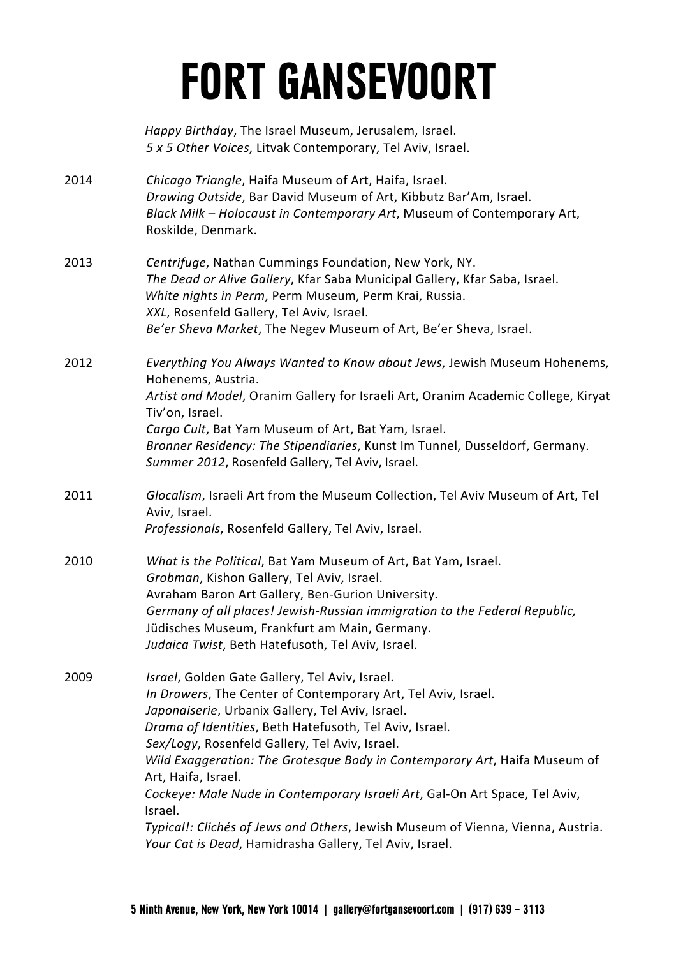*Happy Birthday*, The Israel Museum, Jerusalem, Israel. *5 x 5 Other Voices*, Litvak Contemporary, Tel Aviv, Israel.

- 2014 *Chicago Triangle*, Haifa Museum of Art, Haifa, Israel. *Drawing Outside*, Bar David Museum of Art, Kibbutz Bar'Am, Israel. *Black Milk – Holocaust in Contemporary Art*, Museum of Contemporary Art, Roskilde, Denmark.
- 2013 *Centrifuge*, Nathan Cummings Foundation, New York, NY. *The Dead or Alive Gallery*, Kfar Saba Municipal Gallery, Kfar Saba, Israel. *White nights in Perm*, Perm Museum, Perm Krai, Russia. *XXL*, Rosenfeld Gallery, Tel Aviv, Israel. *Be'er Sheva Market*, The Negev Museum of Art, Be'er Sheva, Israel.
- 2012 *Everything You Always Wanted to Know about Jews*, Jewish Museum Hohenems, Hohenems, Austria. *Artist and Model*, Oranim Gallery for Israeli Art, Oranim Academic College, Kiryat Tiv'on, Israel. *Cargo Cult*, Bat Yam Museum of Art, Bat Yam, Israel. *Bronner Residency: The Stipendiaries*, Kunst Im Tunnel, Dusseldorf, Germany. *Summer 2012*, Rosenfeld Gallery, Tel Aviv, Israel.
- 2011 *Glocalism*, Israeli Art from the Museum Collection, Tel Aviv Museum of Art, Tel Aviv, Israel. *Professionals*, Rosenfeld Gallery, Tel Aviv, Israel.
- 2010 *What is the Political*, Bat Yam Museum of Art, Bat Yam, Israel. *Grobman*, Kishon Gallery, Tel Aviv, Israel. Avraham Baron Art Gallery, Ben-Gurion University. *Germany of all places! Jewish-Russian immigration to the Federal Republic,* Jüdisches Museum, Frankfurt am Main, Germany. *Judaica Twist*, Beth Hatefusoth, Tel Aviv, Israel.
- 2009 *Israel*, Golden Gate Gallery, Tel Aviv, Israel. *In Drawers*, The Center of Contemporary Art, Tel Aviv, Israel. *Japonaiserie*, Urbanix Gallery, Tel Aviv, Israel. *Drama of Identities*, Beth Hatefusoth, Tel Aviv, Israel. *Sex/Logy*, Rosenfeld Gallery, Tel Aviv, Israel. *Wild Exaggeration: The Grotesque Body in Contemporary Art*, Haifa Museum of Art, Haifa, Israel. *Cockeye: Male Nude in Contemporary Israeli Art*, Gal-On Art Space, Tel Aviv, Israel. *Typical!: Clichés of Jews and Others*, Jewish Museum of Vienna, Vienna, Austria. *Your Cat is Dead*, Hamidrasha Gallery, Tel Aviv, Israel.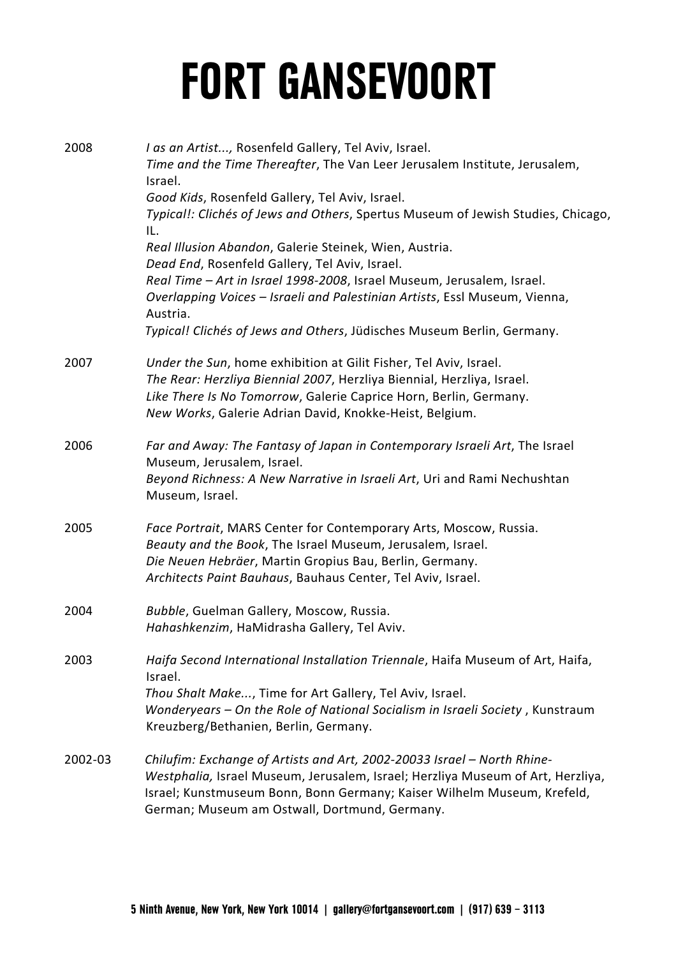| 2008    | I as an Artist, Rosenfeld Gallery, Tel Aviv, Israel.<br>Time and the Time Thereafter, The Van Leer Jerusalem Institute, Jerusalem,<br>Israel.<br>Good Kids, Rosenfeld Gallery, Tel Aviv, Israel.<br>Typical!: Clichés of Jews and Others, Spertus Museum of Jewish Studies, Chicago,<br>IL.<br>Real Illusion Abandon, Galerie Steinek, Wien, Austria.<br>Dead End, Rosenfeld Gallery, Tel Aviv, Israel.<br>Real Time - Art in Israel 1998-2008, Israel Museum, Jerusalem, Israel.<br>Overlapping Voices - Israeli and Palestinian Artists, Essl Museum, Vienna,<br>Austria.<br>Typical! Clichés of Jews and Others, Jüdisches Museum Berlin, Germany. |
|---------|-------------------------------------------------------------------------------------------------------------------------------------------------------------------------------------------------------------------------------------------------------------------------------------------------------------------------------------------------------------------------------------------------------------------------------------------------------------------------------------------------------------------------------------------------------------------------------------------------------------------------------------------------------|
|         |                                                                                                                                                                                                                                                                                                                                                                                                                                                                                                                                                                                                                                                       |
| 2007    | Under the Sun, home exhibition at Gilit Fisher, Tel Aviv, Israel.<br>The Rear: Herzliya Biennial 2007, Herzliya Biennial, Herzliya, Israel.<br>Like There Is No Tomorrow, Galerie Caprice Horn, Berlin, Germany.<br>New Works, Galerie Adrian David, Knokke-Heist, Belgium.                                                                                                                                                                                                                                                                                                                                                                           |
| 2006    | Far and Away: The Fantasy of Japan in Contemporary Israeli Art, The Israel<br>Museum, Jerusalem, Israel.<br>Beyond Richness: A New Narrative in Israeli Art, Uri and Rami Nechushtan<br>Museum, Israel.                                                                                                                                                                                                                                                                                                                                                                                                                                               |
| 2005    | Face Portrait, MARS Center for Contemporary Arts, Moscow, Russia.<br>Beauty and the Book, The Israel Museum, Jerusalem, Israel.<br>Die Neuen Hebräer, Martin Gropius Bau, Berlin, Germany.<br>Architects Paint Bauhaus, Bauhaus Center, Tel Aviv, Israel.                                                                                                                                                                                                                                                                                                                                                                                             |
| 2004    | Bubble, Guelman Gallery, Moscow, Russia.<br>Hahashkenzim, HaMidrasha Gallery, Tel Aviv.                                                                                                                                                                                                                                                                                                                                                                                                                                                                                                                                                               |
| 2003    | Haifa Second International Installation Triennale, Haifa Museum of Art, Haifa,<br>Israel.<br>Thou Shalt Make, Time for Art Gallery, Tel Aviv, Israel.<br>Wonderyears - On the Role of National Socialism in Israeli Society, Kunstraum<br>Kreuzberg/Bethanien, Berlin, Germany.                                                                                                                                                                                                                                                                                                                                                                       |
| 2002-03 | Chilufim: Exchange of Artists and Art, 2002-20033 Israel - North Rhine-<br>Westphalia, Israel Museum, Jerusalem, Israel; Herzliya Museum of Art, Herzliya,<br>Israel; Kunstmuseum Bonn, Bonn Germany; Kaiser Wilhelm Museum, Krefeld,<br>German; Museum am Ostwall, Dortmund, Germany.                                                                                                                                                                                                                                                                                                                                                                |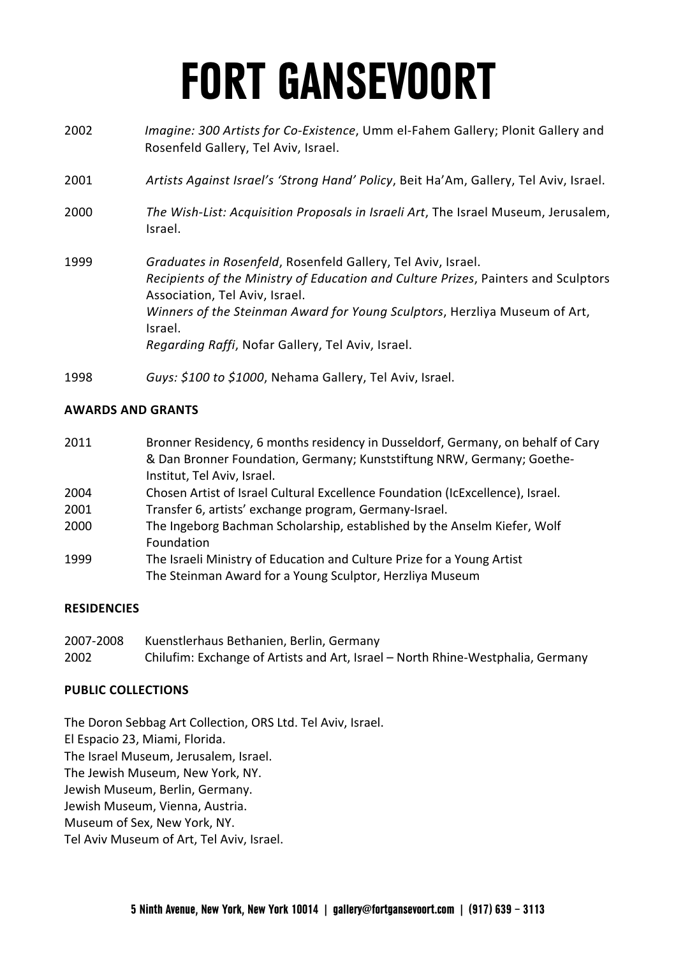- 2002 *Imagine: 300 Artists for Co-Existence*, Umm el-Fahem Gallery; Plonit Gallery and Rosenfeld Gallery, Tel Aviv, Israel.
- 2001 *Artists Against Israel's 'Strong Hand' Policy*, Beit Ha'Am, Gallery, Tel Aviv, Israel.
- 2000 *The Wish-List: Acquisition Proposals in Israeli Art*, The Israel Museum, Jerusalem, Israel.
- 1999 *Graduates in Rosenfeld*, Rosenfeld Gallery, Tel Aviv, Israel. *Recipients of the Ministry of Education and Culture Prizes*, Painters and Sculptors Association, Tel Aviv, Israel. *Winners of the Steinman Award for Young Sculptors*, Herzliya Museum of Art, Israel. *Regarding Raffi*, Nofar Gallery, Tel Aviv, Israel.
- 1998 *Guys: \$100 to \$1000*, Nehama Gallery, Tel Aviv, Israel.

#### **AWARDS AND GRANTS**

- 2011 Bronner Residency, 6 months residency in Dusseldorf, Germany, on behalf of Cary & Dan Bronner Foundation, Germany; Kunststiftung NRW, Germany; Goethe-Institut, Tel Aviv, Israel.
- 2004 Chosen Artist of Israel Cultural Excellence Foundation (IcExcellence), Israel.
- 2001 Transfer 6, artists' exchange program, Germany-Israel.
- 2000 The Ingeborg Bachman Scholarship, established by the Anselm Kiefer, Wolf Foundation
- 1999 The Israeli Ministry of Education and Culture Prize for a Young Artist The Steinman Award for a Young Sculptor, Herzliya Museum

#### **RESIDENCIES**

2007-2008 Kuenstlerhaus Bethanien, Berlin, Germany 2002 Chilufim: Exchange of Artists and Art, Israel – North Rhine-Westphalia, Germany

#### **PUBLIC COLLECTIONS**

The Doron Sebbag Art Collection, ORS Ltd. Tel Aviv, Israel.

El Espacio 23, Miami, Florida.

The Israel Museum, Jerusalem, Israel.

The Jewish Museum, New York, NY.

Jewish Museum, Berlin, Germany.

Jewish Museum, Vienna, Austria.

Museum of Sex, New York, NY.

Tel Aviv Museum of Art, Tel Aviv, Israel.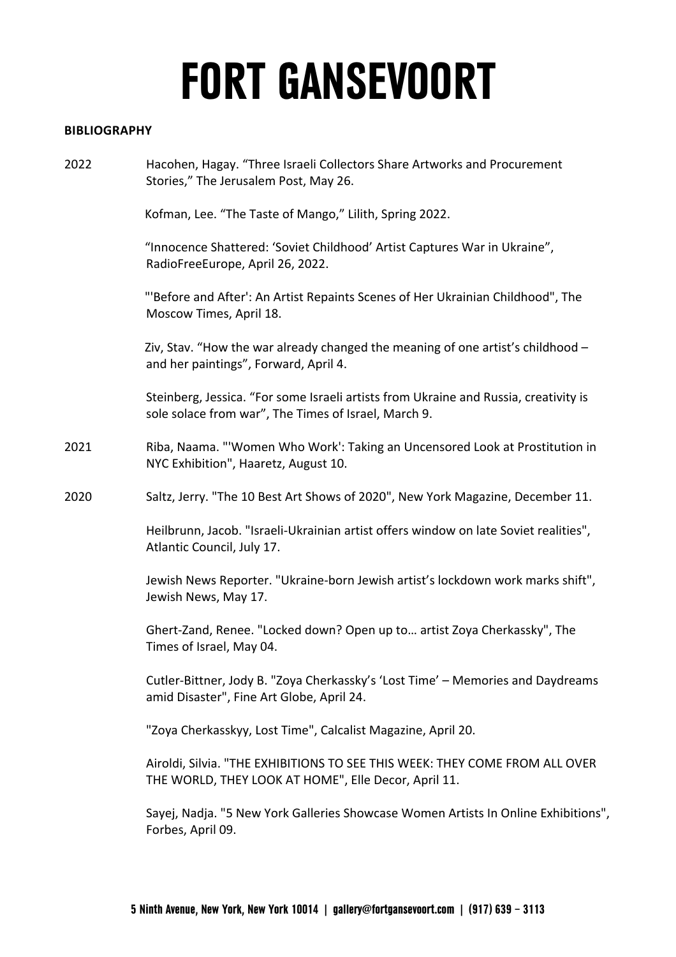#### **BIBLIOGRAPHY**

2022 Hacohen, Hagay. "Three Israeli Collectors Share Artworks and Procurement Stories," The Jerusalem Post, May 26.

Kofman, Lee. "The Taste of Mango," Lilith, Spring 2022.

"Innocence Shattered: 'Soviet Childhood' Artist Captures War in Ukraine", RadioFreeEurope, April 26, 2022.

"'Before and After': An Artist Repaints Scenes of Her Ukrainian Childhood", The Moscow Times, April 18.

Ziv, Stav. "How the war already changed the meaning of one artist's childhood – and her paintings", Forward, April 4.

Steinberg, Jessica. "For some Israeli artists from Ukraine and Russia, creativity is sole solace from war", The Times of Israel, March 9.

- 2021 Riba, Naama. "'Women Who Work': Taking an Uncensored Look at Prostitution in NYC Exhibition", Haaretz, August 10.
- 2020 Saltz, Jerry. "The 10 Best Art Shows of 2020", New York Magazine, December 11.

Heilbrunn, Jacob. "Israeli-Ukrainian artist offers window on late Soviet realities", Atlantic Council, July 17.

Jewish News Reporter. "Ukraine-born Jewish artist's lockdown work marks shift", Jewish News, May 17.

Ghert-Zand, Renee. "Locked down? Open up to… artist Zoya Cherkassky", The Times of Israel, May 04.

Cutler-Bittner, Jody B. "Zoya Cherkassky's 'Lost Time' – Memories and Daydreams amid Disaster", Fine Art Globe, April 24.

"Zoya Cherkasskyy, Lost Time", Calcalist Magazine, April 20.

Airoldi, Silvia. "THE EXHIBITIONS TO SEE THIS WEEK: THEY COME FROM ALL OVER THE WORLD, THEY LOOK AT HOME", Elle Decor, April 11.

Sayej, Nadja. "5 New York Galleries Showcase Women Artists In Online Exhibitions", Forbes, April 09.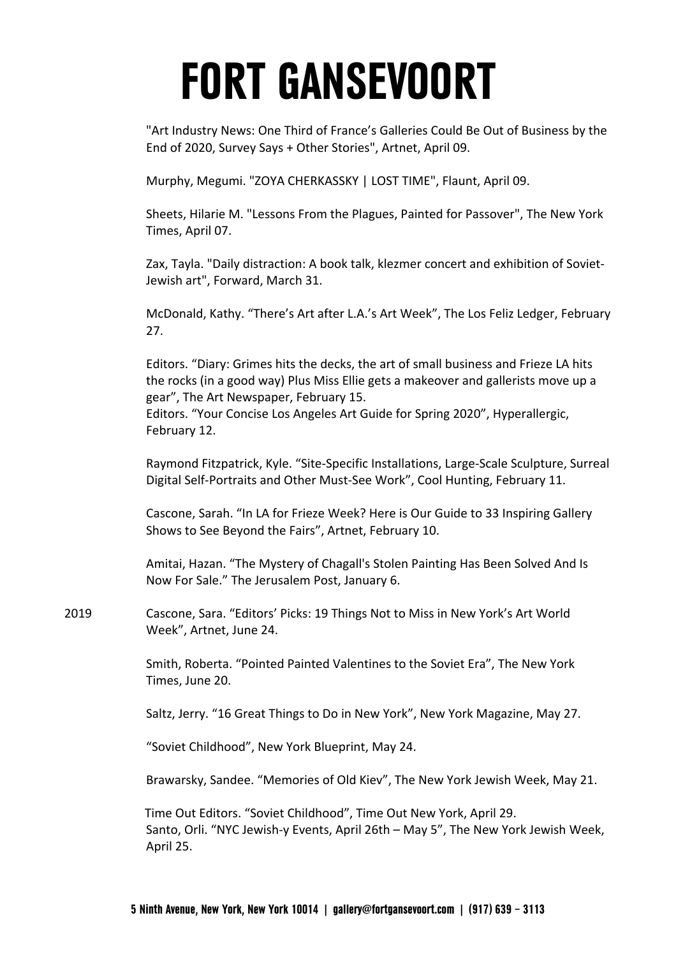"Art Industry News: One Third of France's Galleries Could Be Out of Business by the End of 2020, Survey Says + Other Stories", Artnet, April 09.

Murphy, Megumi. "ZOYA CHERKASSKY | LOST TIME", Flaunt, April 09.

Sheets, Hilarie M. "Lessons From the Plagues, Painted for Passover", The New York Times, April 07.

Zax, Tayla. "Daily distraction: A book talk, klezmer concert and exhibition of Soviet-Jewish art", Forward, March 31.

McDonald, Kathy. "There's Art after L.A.'s Art Week", The Los Feliz Ledger, February 27.

Editors. "Diary: Grimes hits the decks, the art of small business and Frieze LA hits the rocks (in a good way) Plus Miss Ellie gets a makeover and gallerists move up a gear", The Art Newspaper, February 15. Editors. "Your Concise Los Angeles Art Guide for Spring 2020", Hyperallergic, February 12.

Raymond Fitzpatrick, Kyle. "Site-Specific Installations, Large-Scale Sculpture, Surreal Digital Self-Portraits and Other Must-See Work", Cool Hunting, February 11.

Cascone, Sarah. "In LA for Frieze Week? Here is Our Guide to 33 Inspiring Gallery Shows to See Beyond the Fairs", Artnet, February 10.

Amitai, Hazan. "The Mystery of Chagall's Stolen Painting Has Been Solved And Is Now For Sale." The Jerusalem Post, January 6.

2019 Cascone, Sara. "Editors' Picks: 19 Things Not to Miss in New York's Art World Week", Artnet, June 24.

> Smith, Roberta. "Pointed Painted Valentines to the Soviet Era", The New York Times, June 20.

Saltz, Jerry. "16 Great Things to Do in New York", New York Magazine, May 27.

"Soviet Childhood", New York Blueprint, May 24.

Brawarsky, Sandee. "Memories of Old Kiev", The New York Jewish Week, May 21.

Time Out Editors. "Soviet Childhood", Time Out New York, April 29. Santo, Orli. "NYC Jewish-y Events, April 26th – May 5", The New York Jewish Week, April 25.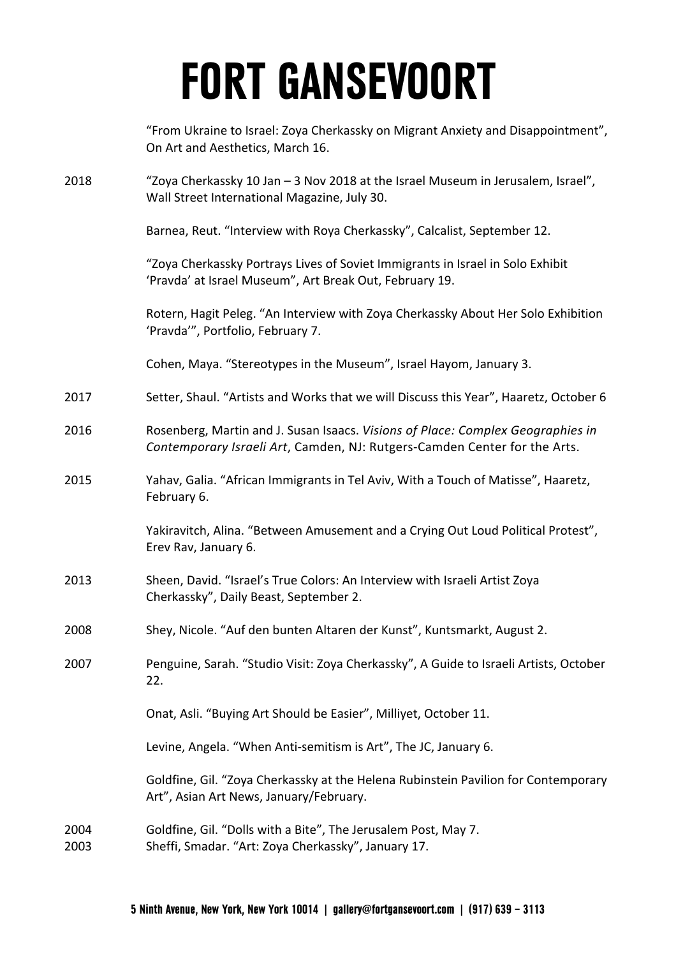|              | "From Ukraine to Israel: Zoya Cherkassky on Migrant Anxiety and Disappointment",<br>On Art and Aesthetics, March 16.                                         |
|--------------|--------------------------------------------------------------------------------------------------------------------------------------------------------------|
| 2018         | "Zoya Cherkassky 10 Jan - 3 Nov 2018 at the Israel Museum in Jerusalem, Israel",<br>Wall Street International Magazine, July 30.                             |
|              | Barnea, Reut. "Interview with Roya Cherkassky", Calcalist, September 12.                                                                                     |
|              | "Zoya Cherkassky Portrays Lives of Soviet Immigrants in Israel in Solo Exhibit<br>'Pravda' at Israel Museum", Art Break Out, February 19.                    |
|              | Rotern, Hagit Peleg. "An Interview with Zoya Cherkassky About Her Solo Exhibition<br>'Pravda'", Portfolio, February 7.                                       |
|              | Cohen, Maya. "Stereotypes in the Museum", Israel Hayom, January 3.                                                                                           |
| 2017         | Setter, Shaul. "Artists and Works that we will Discuss this Year", Haaretz, October 6                                                                        |
| 2016         | Rosenberg, Martin and J. Susan Isaacs. Visions of Place: Complex Geographies in<br>Contemporary Israeli Art, Camden, NJ: Rutgers-Camden Center for the Arts. |
| 2015         | Yahav, Galia. "African Immigrants in Tel Aviv, With a Touch of Matisse", Haaretz,<br>February 6.                                                             |
|              | Yakiravitch, Alina. "Between Amusement and a Crying Out Loud Political Protest",<br>Erev Rav, January 6.                                                     |
| 2013         | Sheen, David. "Israel's True Colors: An Interview with Israeli Artist Zoya<br>Cherkassky", Daily Beast, September 2.                                         |
| 2008         | Shey, Nicole. "Auf den bunten Altaren der Kunst", Kuntsmarkt, August 2.                                                                                      |
| 2007         | Penguine, Sarah. "Studio Visit: Zoya Cherkassky", A Guide to Israeli Artists, October<br>22.                                                                 |
|              | Onat, Asli. "Buying Art Should be Easier", Milliyet, October 11.                                                                                             |
|              | Levine, Angela. "When Anti-semitism is Art", The JC, January 6.                                                                                              |
|              | Goldfine, Gil. "Zoya Cherkassky at the Helena Rubinstein Pavilion for Contemporary<br>Art", Asian Art News, January/February.                                |
| 2004<br>2003 | Goldfine, Gil. "Dolls with a Bite", The Jerusalem Post, May 7.<br>Sheffi, Smadar. "Art: Zoya Cherkassky", January 17.                                        |